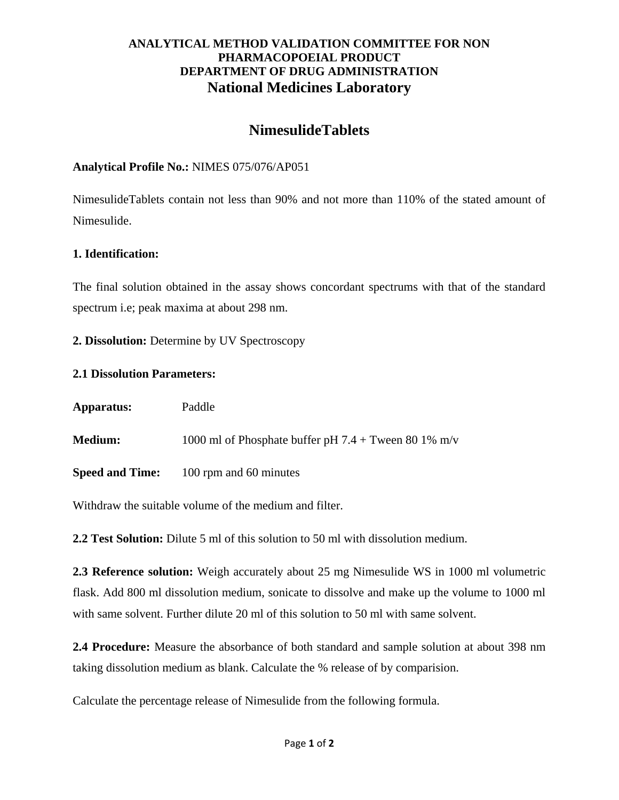# **ANALYTICAL METHOD VALIDATION COMMITTEE FOR NON PHARMACOPOEIAL PRODUCT DEPARTMENT OF DRUG ADMINISTRATION National Medicines Laboratory**

# **NimesulideTablets**

## **Analytical Profile No.:** NIMES 075/076/AP051

NimesulideTablets contain not less than 90% and not more than 110% of the stated amount of Nimesulide.

#### **1. Identification:**

The final solution obtained in the assay shows concordant spectrums with that of the standard spectrum i.e; peak maxima at about 298 nm.

**2. Dissolution:** Determine by UV Spectroscopy

#### **2.1 Dissolution Parameters:**

| Apparatus:             | Paddle                                                 |
|------------------------|--------------------------------------------------------|
| <b>Medium:</b>         | 1000 ml of Phosphate buffer pH $7.4 +$ Tween 80 1% m/v |
| <b>Speed and Time:</b> | 100 rpm and 60 minutes                                 |

Withdraw the suitable volume of the medium and filter.

**2.2 Test Solution:** Dilute 5 ml of this solution to 50 ml with dissolution medium.

**2.3 Reference solution:** Weigh accurately about 25 mg Nimesulide WS in 1000 ml volumetric flask. Add 800 ml dissolution medium, sonicate to dissolve and make up the volume to 1000 ml with same solvent. Further dilute 20 ml of this solution to 50 ml with same solvent.

**2.4 Procedure:** Measure the absorbance of both standard and sample solution at about 398 nm taking dissolution medium as blank. Calculate the % release of by comparision.

Calculate the percentage release of Nimesulide from the following formula.